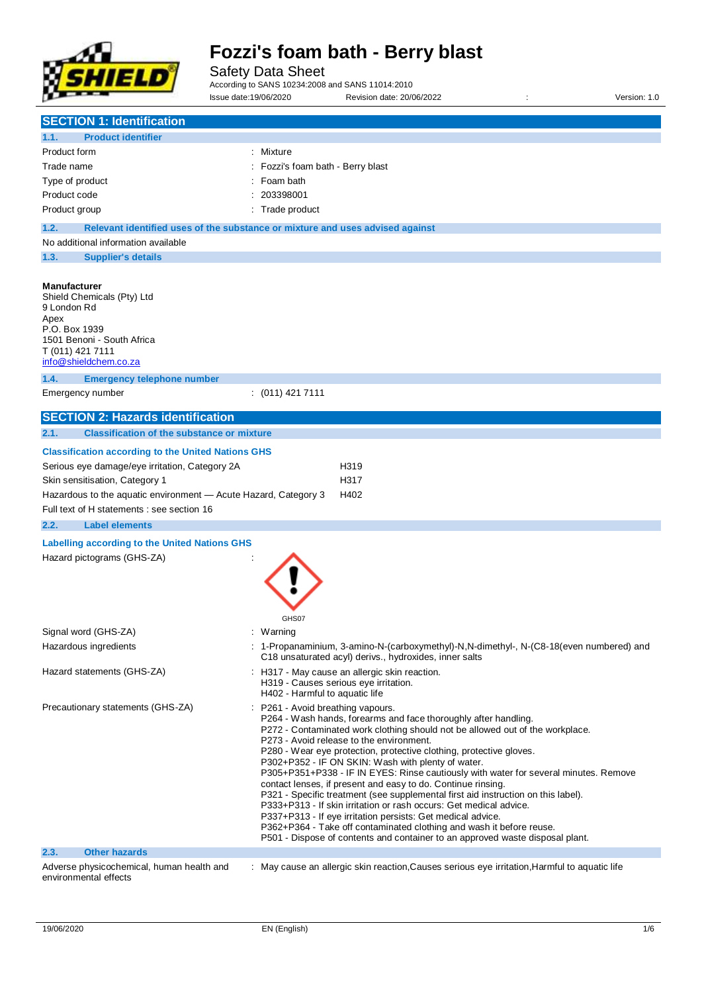

Safety Data Sheet

According to SANS 10234:2008 and SANS 11014:2010 Issue date:19/06/2020 Revision date: 20/06/2022 : Version: 1.0

| <b>SECTION 1: Identification</b>                                                                                                                                                                                                                                                           |                                                                                                                                                                                                                                                                                                                                                                                                                                                                                                                                                                                                                                                                                                                                                                                                                                                                                                         |
|--------------------------------------------------------------------------------------------------------------------------------------------------------------------------------------------------------------------------------------------------------------------------------------------|---------------------------------------------------------------------------------------------------------------------------------------------------------------------------------------------------------------------------------------------------------------------------------------------------------------------------------------------------------------------------------------------------------------------------------------------------------------------------------------------------------------------------------------------------------------------------------------------------------------------------------------------------------------------------------------------------------------------------------------------------------------------------------------------------------------------------------------------------------------------------------------------------------|
| <b>Product identifier</b><br>1.1.                                                                                                                                                                                                                                                          |                                                                                                                                                                                                                                                                                                                                                                                                                                                                                                                                                                                                                                                                                                                                                                                                                                                                                                         |
| Product form                                                                                                                                                                                                                                                                               | : Mixture                                                                                                                                                                                                                                                                                                                                                                                                                                                                                                                                                                                                                                                                                                                                                                                                                                                                                               |
| Trade name                                                                                                                                                                                                                                                                                 | Fozzi's foam bath - Berry blast                                                                                                                                                                                                                                                                                                                                                                                                                                                                                                                                                                                                                                                                                                                                                                                                                                                                         |
| Type of product                                                                                                                                                                                                                                                                            | Foam bath                                                                                                                                                                                                                                                                                                                                                                                                                                                                                                                                                                                                                                                                                                                                                                                                                                                                                               |
| Product code                                                                                                                                                                                                                                                                               | 203398001                                                                                                                                                                                                                                                                                                                                                                                                                                                                                                                                                                                                                                                                                                                                                                                                                                                                                               |
| Product group                                                                                                                                                                                                                                                                              | Trade product                                                                                                                                                                                                                                                                                                                                                                                                                                                                                                                                                                                                                                                                                                                                                                                                                                                                                           |
| 1.2.                                                                                                                                                                                                                                                                                       | Relevant identified uses of the substance or mixture and uses advised against                                                                                                                                                                                                                                                                                                                                                                                                                                                                                                                                                                                                                                                                                                                                                                                                                           |
| No additional information available                                                                                                                                                                                                                                                        |                                                                                                                                                                                                                                                                                                                                                                                                                                                                                                                                                                                                                                                                                                                                                                                                                                                                                                         |
| 1.3.<br><b>Supplier's details</b>                                                                                                                                                                                                                                                          |                                                                                                                                                                                                                                                                                                                                                                                                                                                                                                                                                                                                                                                                                                                                                                                                                                                                                                         |
| <b>Manufacturer</b><br>Shield Chemicals (Pty) Ltd<br>9 London Rd<br>Apex<br>P.O. Box 1939<br>1501 Benoni - South Africa<br>T (011) 421 7111<br>info@shieldchem.co.za<br>1.4.<br><b>Emergency telephone number</b>                                                                          |                                                                                                                                                                                                                                                                                                                                                                                                                                                                                                                                                                                                                                                                                                                                                                                                                                                                                                         |
| Emergency number                                                                                                                                                                                                                                                                           | $: (011)$ 421 7111                                                                                                                                                                                                                                                                                                                                                                                                                                                                                                                                                                                                                                                                                                                                                                                                                                                                                      |
|                                                                                                                                                                                                                                                                                            |                                                                                                                                                                                                                                                                                                                                                                                                                                                                                                                                                                                                                                                                                                                                                                                                                                                                                                         |
| <b>SECTION 2: Hazards identification</b>                                                                                                                                                                                                                                                   |                                                                                                                                                                                                                                                                                                                                                                                                                                                                                                                                                                                                                                                                                                                                                                                                                                                                                                         |
| 2.1.<br><b>Classification of the substance or mixture</b><br><b>Classification according to the United Nations GHS</b>                                                                                                                                                                     |                                                                                                                                                                                                                                                                                                                                                                                                                                                                                                                                                                                                                                                                                                                                                                                                                                                                                                         |
| Serious eye damage/eye irritation, Category 2A<br>Skin sensitisation, Category 1<br>Hazardous to the aquatic environment - Acute Hazard, Category 3<br>Full text of H statements : see section 16<br>2.2.<br><b>Label elements</b><br><b>Labelling according to the United Nations GHS</b> | H319<br>H317<br>H402                                                                                                                                                                                                                                                                                                                                                                                                                                                                                                                                                                                                                                                                                                                                                                                                                                                                                    |
| Hazard pictograms (GHS-ZA)                                                                                                                                                                                                                                                                 | GHS07                                                                                                                                                                                                                                                                                                                                                                                                                                                                                                                                                                                                                                                                                                                                                                                                                                                                                                   |
| Signal word (GHS-ZA)                                                                                                                                                                                                                                                                       | : Warning                                                                                                                                                                                                                                                                                                                                                                                                                                                                                                                                                                                                                                                                                                                                                                                                                                                                                               |
| Hazardous ingredients                                                                                                                                                                                                                                                                      | : 1-Propanaminium, 3-amino-N-(carboxymethyl)-N,N-dimethyl-, N-(C8-18(even numbered) and<br>C18 unsaturated acyl) derivs., hydroxides, inner salts                                                                                                                                                                                                                                                                                                                                                                                                                                                                                                                                                                                                                                                                                                                                                       |
| Hazard statements (GHS-ZA)                                                                                                                                                                                                                                                                 | : H317 - May cause an allergic skin reaction.<br>H319 - Causes serious eye irritation.<br>H402 - Harmful to aquatic life                                                                                                                                                                                                                                                                                                                                                                                                                                                                                                                                                                                                                                                                                                                                                                                |
| Precautionary statements (GHS-ZA)                                                                                                                                                                                                                                                          | P261 - Avoid breathing vapours.<br>P264 - Wash hands, forearms and face thoroughly after handling.<br>P272 - Contaminated work clothing should not be allowed out of the workplace.<br>P273 - Avoid release to the environment.<br>P280 - Wear eye protection, protective clothing, protective gloves.<br>P302+P352 - IF ON SKIN: Wash with plenty of water.<br>P305+P351+P338 - IF IN EYES: Rinse cautiously with water for several minutes. Remove<br>contact lenses, if present and easy to do. Continue rinsing.<br>P321 - Specific treatment (see supplemental first aid instruction on this label).<br>P333+P313 - If skin irritation or rash occurs: Get medical advice.<br>P337+P313 - If eye irritation persists: Get medical advice.<br>P362+P364 - Take off contaminated clothing and wash it before reuse.<br>P501 - Dispose of contents and container to an approved waste disposal plant. |
| 2.3.<br><b>Other hazards</b>                                                                                                                                                                                                                                                               |                                                                                                                                                                                                                                                                                                                                                                                                                                                                                                                                                                                                                                                                                                                                                                                                                                                                                                         |
| Adverse physicochemical, human health and<br>environmental effects                                                                                                                                                                                                                         | : May cause an allergic skin reaction, Causes serious eye irritation, Harmful to aquatic life                                                                                                                                                                                                                                                                                                                                                                                                                                                                                                                                                                                                                                                                                                                                                                                                           |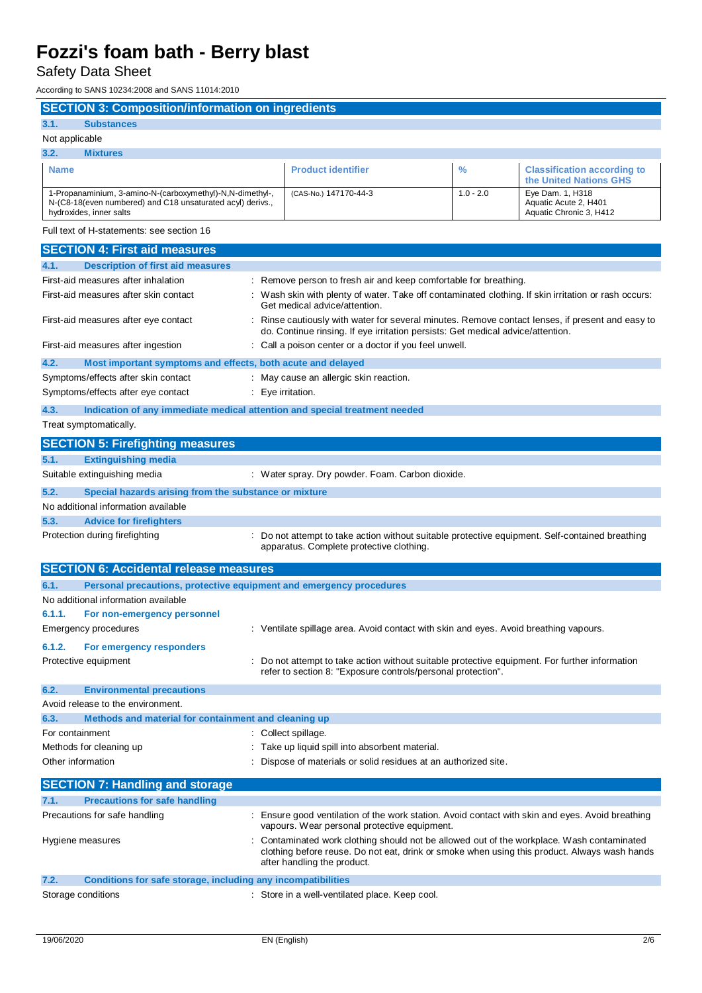Safety Data Sheet

According to SANS 10234:2008 and SANS 11014:2010

| <b>SECTION 3: Composition/information on ingredients</b>                                                                                           |                                                                                                                                                              |               |                                                                                                                                                                                          |
|----------------------------------------------------------------------------------------------------------------------------------------------------|--------------------------------------------------------------------------------------------------------------------------------------------------------------|---------------|------------------------------------------------------------------------------------------------------------------------------------------------------------------------------------------|
| 3.1.<br><b>Substances</b>                                                                                                                          |                                                                                                                                                              |               |                                                                                                                                                                                          |
| Not applicable                                                                                                                                     |                                                                                                                                                              |               |                                                                                                                                                                                          |
| 3.2.<br><b>Mixtures</b>                                                                                                                            |                                                                                                                                                              |               |                                                                                                                                                                                          |
| <b>Name</b>                                                                                                                                        | <b>Product identifier</b>                                                                                                                                    | $\frac{0}{0}$ | <b>Classification according to</b><br>the United Nations GHS                                                                                                                             |
| 1-Propanaminium, 3-amino-N-(carboxymethyl)-N,N-dimethyl-,<br>N-(C8-18(even numbered) and C18 unsaturated acyl) derivs.,<br>hydroxides, inner salts | (CAS-No.) 147170-44-3                                                                                                                                        | $1.0 - 2.0$   | Eye Dam. 1, H318<br>Aquatic Acute 2, H401<br>Aquatic Chronic 3, H412                                                                                                                     |
| Full text of H-statements: see section 16                                                                                                          |                                                                                                                                                              |               |                                                                                                                                                                                          |
| <b>SECTION 4: First aid measures</b>                                                                                                               |                                                                                                                                                              |               |                                                                                                                                                                                          |
| 4.1.<br><b>Description of first aid measures</b>                                                                                                   |                                                                                                                                                              |               |                                                                                                                                                                                          |
| First-aid measures after inhalation                                                                                                                | : Remove person to fresh air and keep comfortable for breathing.                                                                                             |               |                                                                                                                                                                                          |
| First-aid measures after skin contact                                                                                                              | Get medical advice/attention.                                                                                                                                |               | : Wash skin with plenty of water. Take off contaminated clothing. If skin irritation or rash occurs:                                                                                     |
| First-aid measures after eye contact                                                                                                               | do. Continue rinsing. If eye irritation persists: Get medical advice/attention.                                                                              |               | : Rinse cautiously with water for several minutes. Remove contact lenses, if present and easy to                                                                                         |
| First-aid measures after ingestion                                                                                                                 | : Call a poison center or a doctor if you feel unwell.                                                                                                       |               |                                                                                                                                                                                          |
| 4.2.<br>Most important symptoms and effects, both acute and delayed                                                                                |                                                                                                                                                              |               |                                                                                                                                                                                          |
| Symptoms/effects after skin contact                                                                                                                | May cause an allergic skin reaction.                                                                                                                         |               |                                                                                                                                                                                          |
| Symptoms/effects after eye contact                                                                                                                 | : Eye irritation.                                                                                                                                            |               |                                                                                                                                                                                          |
| 4.3.<br>Indication of any immediate medical attention and special treatment needed                                                                 |                                                                                                                                                              |               |                                                                                                                                                                                          |
| Treat symptomatically.                                                                                                                             |                                                                                                                                                              |               |                                                                                                                                                                                          |
| <b>SECTION 5: Firefighting measures</b>                                                                                                            |                                                                                                                                                              |               |                                                                                                                                                                                          |
| 5.1.<br><b>Extinguishing media</b>                                                                                                                 |                                                                                                                                                              |               |                                                                                                                                                                                          |
| Suitable extinguishing media                                                                                                                       | : Water spray. Dry powder. Foam. Carbon dioxide.                                                                                                             |               |                                                                                                                                                                                          |
| 5.2.<br>Special hazards arising from the substance or mixture                                                                                      |                                                                                                                                                              |               |                                                                                                                                                                                          |
| No additional information available                                                                                                                |                                                                                                                                                              |               |                                                                                                                                                                                          |
| 5.3.<br><b>Advice for firefighters</b>                                                                                                             |                                                                                                                                                              |               |                                                                                                                                                                                          |
| Protection during firefighting                                                                                                                     | apparatus. Complete protective clothing.                                                                                                                     |               | : Do not attempt to take action without suitable protective equipment. Self-contained breathing                                                                                          |
| <b>SECTION 6: Accidental release measures</b>                                                                                                      |                                                                                                                                                              |               |                                                                                                                                                                                          |
| 6.1.<br>Personal precautions, protective equipment and emergency procedures                                                                        |                                                                                                                                                              |               |                                                                                                                                                                                          |
| No additional information available                                                                                                                |                                                                                                                                                              |               |                                                                                                                                                                                          |
| 6.1.1.<br>For non-emergency personnel                                                                                                              |                                                                                                                                                              |               |                                                                                                                                                                                          |
| <b>Emergency procedures</b>                                                                                                                        | : Ventilate spillage area. Avoid contact with skin and eyes. Avoid breathing vapours.                                                                        |               |                                                                                                                                                                                          |
| 6.1.2.<br>For emergency responders                                                                                                                 |                                                                                                                                                              |               |                                                                                                                                                                                          |
| Protective equipment                                                                                                                               | Do not attempt to take action without suitable protective equipment. For further information<br>refer to section 8: "Exposure controls/personal protection". |               |                                                                                                                                                                                          |
| 6.2.<br><b>Environmental precautions</b>                                                                                                           |                                                                                                                                                              |               |                                                                                                                                                                                          |
| Avoid release to the environment.                                                                                                                  |                                                                                                                                                              |               |                                                                                                                                                                                          |
| 6.3.<br>Methods and material for containment and cleaning up                                                                                       |                                                                                                                                                              |               |                                                                                                                                                                                          |
| For containment                                                                                                                                    | : Collect spillage.                                                                                                                                          |               |                                                                                                                                                                                          |
| Methods for cleaning up                                                                                                                            | : Take up liquid spill into absorbent material.                                                                                                              |               |                                                                                                                                                                                          |
| Other information                                                                                                                                  | : Dispose of materials or solid residues at an authorized site.                                                                                              |               |                                                                                                                                                                                          |
|                                                                                                                                                    |                                                                                                                                                              |               |                                                                                                                                                                                          |
| <b>SECTION 7: Handling and storage</b>                                                                                                             |                                                                                                                                                              |               |                                                                                                                                                                                          |
| <b>Precautions for safe handling</b><br>7.1.<br>Precautions for safe handling                                                                      |                                                                                                                                                              |               | : Ensure good ventilation of the work station. Avoid contact with skin and eyes. Avoid breathing                                                                                         |
| Hygiene measures                                                                                                                                   | vapours. Wear personal protective equipment.<br>after handling the product.                                                                                  |               | Contaminated work clothing should not be allowed out of the workplace. Wash contaminated<br>clothing before reuse. Do not eat, drink or smoke when using this product. Always wash hands |
| Conditions for safe storage, including any incompatibilities<br>7.2.                                                                               |                                                                                                                                                              |               |                                                                                                                                                                                          |
| Storage conditions                                                                                                                                 | : Store in a well-ventilated place. Keep cool.                                                                                                               |               |                                                                                                                                                                                          |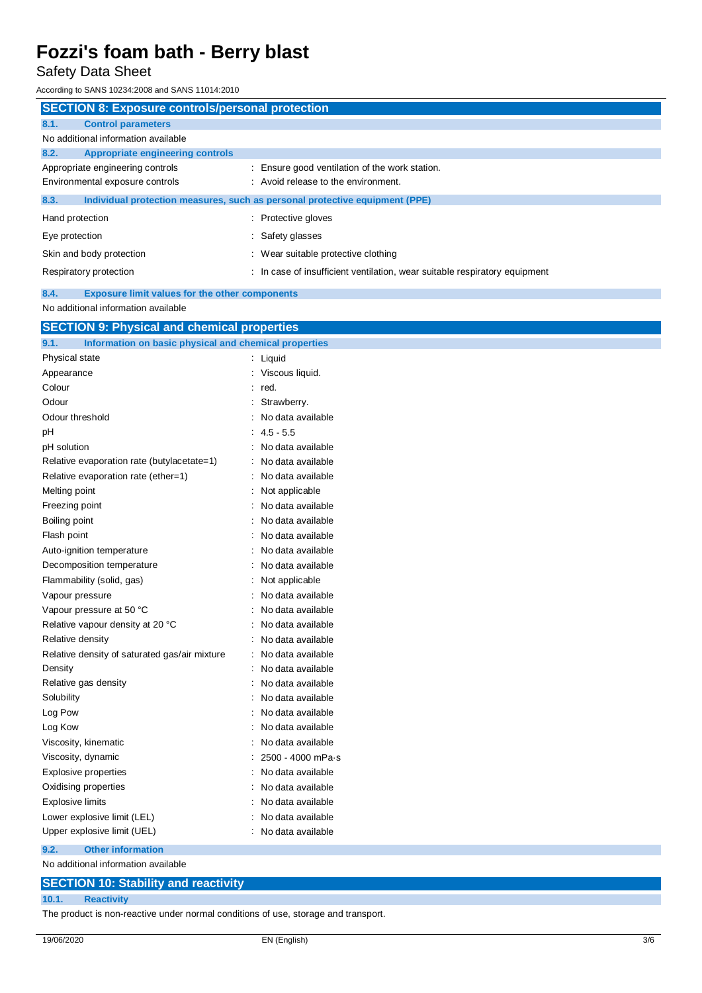Safety Data Sheet

According to SANS 10234:2008 and SANS 11014:2010

| <b>SECTION 8: Exposure controls/personal protection</b>       |                                                                             |
|---------------------------------------------------------------|-----------------------------------------------------------------------------|
| 8.1.<br><b>Control parameters</b>                             |                                                                             |
| No additional information available                           |                                                                             |
| 8.2.<br><b>Appropriate engineering controls</b>               |                                                                             |
| Appropriate engineering controls                              | Ensure good ventilation of the work station.                                |
| Environmental exposure controls                               | : Avoid release to the environment.                                         |
| 8.3.                                                          | Individual protection measures, such as personal protective equipment (PPE) |
| Hand protection                                               | Protective gloves                                                           |
| Eye protection                                                | Safety glasses                                                              |
| Skin and body protection                                      | : Wear suitable protective clothing                                         |
| Respiratory protection                                        | In case of insufficient ventilation, wear suitable respiratory equipment    |
| <b>Exposure limit values for the other components</b><br>8.4. |                                                                             |
| No additional information available                           |                                                                             |
| <b>SECTION 9: Physical and chemical properties</b>            |                                                                             |
| 9.1.<br>Information on basic physical and chemical properties |                                                                             |
| Physical state                                                | $\cdot$ limind                                                              |

| Physical state                                |                      | Liquid            |
|-----------------------------------------------|----------------------|-------------------|
| Appearance                                    |                      | Viscous liquid.   |
| Colour                                        |                      | red.              |
| Odour                                         |                      | Strawberry.       |
| Odour threshold                               |                      | No data available |
| pH                                            |                      | $4.5 - 5.5$       |
| pH solution                                   |                      | No data available |
| Relative evaporation rate (butylacetate=1)    | ÷                    | No data available |
| Relative evaporation rate (ether=1)           | $\ddot{\phantom{a}}$ | No data available |
| Melting point                                 | t                    | Not applicable    |
| Freezing point                                |                      | No data available |
| Boiling point                                 |                      | No data available |
| Flash point                                   |                      | No data available |
| Auto-ignition temperature                     |                      | No data available |
| Decomposition temperature                     |                      | No data available |
| Flammability (solid, gas)                     |                      | Not applicable    |
| Vapour pressure                               |                      | No data available |
| Vapour pressure at 50 °C                      |                      | No data available |
| Relative vapour density at 20 °C              | $\ddot{\cdot}$       | No data available |
| Relative density                              |                      | No data available |
| Relative density of saturated gas/air mixture |                      | No data available |
| Density                                       |                      | No data available |
| Relative gas density                          |                      | No data available |
| Solubility                                    |                      | No data available |
| Log Pow                                       |                      | No data available |
| Log Kow                                       |                      | No data available |
| Viscosity, kinematic                          |                      | No data available |
| Viscosity, dynamic                            |                      | 2500 - 4000 mPa·s |
| Explosive properties                          |                      | No data available |
| Oxidising properties                          | ÷                    | No data available |
| <b>Explosive limits</b>                       |                      | No data available |
| Lower explosive limit (LEL)                   |                      | No data available |
| Upper explosive limit (UEL)                   |                      | No data available |
|                                               |                      |                   |

**9.2. Other information**

No additional information available

### **SECTION 10: Stability and reactivity**

**10.1. Reactivity**

The product is non-reactive under normal conditions of use, storage and transport.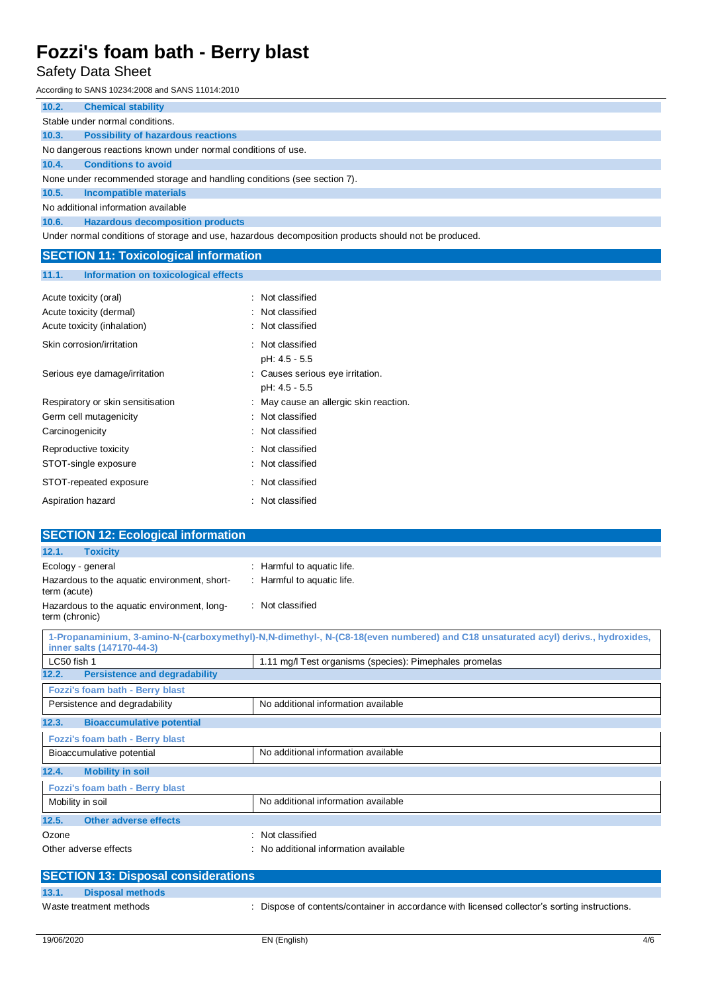Safety Data Sheet

According to SANS 10234:2008 and SANS 11014:2010

| 10.2.                                                                   | <b>Chemical stability</b>                                                                            |  |  |
|-------------------------------------------------------------------------|------------------------------------------------------------------------------------------------------|--|--|
|                                                                         | Stable under normal conditions.                                                                      |  |  |
| 10.3.                                                                   | <b>Possibility of hazardous reactions</b>                                                            |  |  |
|                                                                         | No dangerous reactions known under normal conditions of use.                                         |  |  |
| 10.4.                                                                   | <b>Conditions to avoid</b>                                                                           |  |  |
| None under recommended storage and handling conditions (see section 7). |                                                                                                      |  |  |
| 10.5.                                                                   | <b>Incompatible materials</b>                                                                        |  |  |
|                                                                         | No additional information available                                                                  |  |  |
| 10.6.                                                                   | <b>Hazardous decomposition products</b>                                                              |  |  |
|                                                                         | Under normal conditions of storage and use, hazardous decomposition products should not be produced. |  |  |
|                                                                         | <b>SECTION 11: Toxicological information</b>                                                         |  |  |

### **11.1. Information on toxicological effects**

| Acute toxicity (oral)<br>Acute toxicity (dermal)<br>Acute toxicity (inhalation) | : Not classified<br>: Not classified<br>Not classified |
|---------------------------------------------------------------------------------|--------------------------------------------------------|
| Skin corrosion/irritation                                                       | : Not classified<br>pH: 4.5 - 5.5                      |
| Serious eye damage/irritation                                                   | : Causes serious eye irritation.<br>pH: 4.5 - 5.5      |
| Respiratory or skin sensitisation                                               | : May cause an allergic skin reaction.                 |
| Germ cell mutagenicity                                                          | Not classified                                         |
| Carcinogenicity                                                                 | Not classified                                         |
| Reproductive toxicity                                                           | : Not classified                                       |
| STOT-single exposure                                                            | : Not classified                                       |
| STOT-repeated exposure                                                          | : Not classified                                       |
| Aspiration hazard                                                               | : Not classified                                       |

| <b>SECTION 12: Ecological information</b>                     |                                                                                                                                  |
|---------------------------------------------------------------|----------------------------------------------------------------------------------------------------------------------------------|
| 12.1.<br><b>Toxicity</b>                                      |                                                                                                                                  |
| Ecology - general                                             | Harmful to aquatic life.                                                                                                         |
| Hazardous to the aquatic environment, short-<br>term (acute)  | : Harmful to aquatic life.                                                                                                       |
| Hazardous to the aquatic environment, long-<br>term (chronic) | : Not classified                                                                                                                 |
| inner salts (147170-44-3)                                     | 1-Propanaminium, 3-amino-N-(carboxymethyl)-N.N-dimethyl-, N-(C8-18(even numbered) and C18 unsaturated acyl) derivs., hydroxides, |
| LC50 fish 1                                                   | 1.11 mg/l Test organisms (species): Pimephales promelas                                                                          |
| <b>Persistence and degradability</b><br>12.2.                 |                                                                                                                                  |
| Fozzi's foam bath - Berry blast                               |                                                                                                                                  |
| Persistence and degradability                                 | No additional information available                                                                                              |
| 12.3.<br><b>Bioaccumulative potential</b>                     |                                                                                                                                  |
| Fozzi's foam bath - Berry blast                               |                                                                                                                                  |
| Bioaccumulative potential                                     | No additional information available                                                                                              |
| <b>Mobility in soil</b><br>12.4.                              |                                                                                                                                  |
| Fozzi's foam bath - Berry blast                               |                                                                                                                                  |
| Mobility in soil                                              | No additional information available                                                                                              |
| <b>Other adverse effects</b><br>12.5.                         |                                                                                                                                  |
| Ozone                                                         | Not classified                                                                                                                   |
| Other adverse effects                                         | No additional information available                                                                                              |
| <b>SECTION 13: Disposal considerations</b>                    |                                                                                                                                  |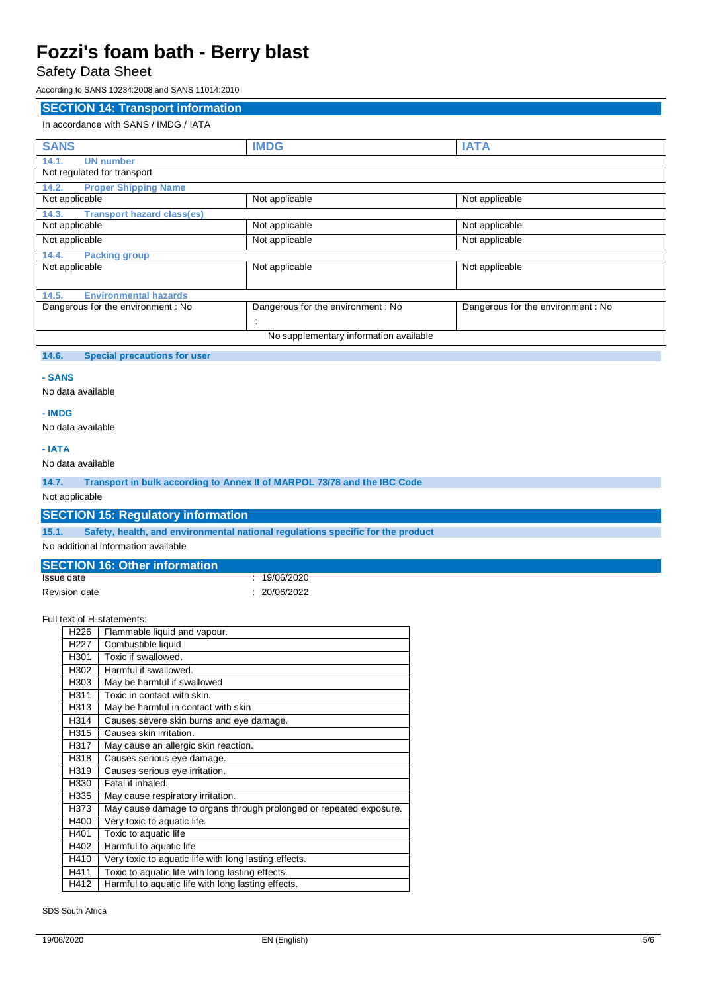Safety Data Sheet

According to SANS 10234:2008 and SANS 11014:2010

### **SECTION 14: Transport information**

### In accordance with SANS / IMDG / IATA

| <b>SANS</b>                                | <b>IMDG</b>                            | <b>IATA</b>                       |
|--------------------------------------------|----------------------------------------|-----------------------------------|
| 14.1.<br><b>UN number</b>                  |                                        |                                   |
| Not regulated for transport                |                                        |                                   |
| <b>Proper Shipping Name</b><br>14.2.       |                                        |                                   |
| Not applicable                             | Not applicable                         | Not applicable                    |
| <b>Transport hazard class(es)</b><br>14.3. |                                        |                                   |
| Not applicable                             | Not applicable                         | Not applicable                    |
| Not applicable                             | Not applicable                         | Not applicable                    |
| 14.4.<br><b>Packing group</b>              |                                        |                                   |
| Not applicable                             | Not applicable                         | Not applicable                    |
|                                            |                                        |                                   |
| <b>Environmental hazards</b><br>14.5.      |                                        |                                   |
| Dangerous for the environment: No          | Dangerous for the environment: No      | Dangerous for the environment: No |
|                                            |                                        |                                   |
|                                            | No supplementary information available |                                   |

### **14.6. Special precautions for user**

#### **- SANS**

No data available

### No data available

**- IMDG**

**- IATA**

No data available

**14.7. Transport in bulk according to Annex II of MARPOL 73/78 and the IBC Code**

Not applicable

### **SECTION 15: Regulatory information**

**15.1. Safety, health, and environmental national regulations specific for the product**

No additional information available

#### **SECTION 16: Other information**<br>**Issue date**  $: 19/06/2020$ Revision date : 20/06/2022

| Full text of H-statements: |
|----------------------------|
|----------------------------|

| H <sub>226</sub> | Flammable liquid and vapour.                                       |
|------------------|--------------------------------------------------------------------|
| H <sub>227</sub> | Combustible liquid                                                 |
| H301             | Toxic if swallowed.                                                |
| H302             | Harmful if swallowed.                                              |
| H303             | May be harmful if swallowed                                        |
| H311             | Toxic in contact with skin.                                        |
| H313             | May be harmful in contact with skin                                |
| H314             | Causes severe skin burns and eye damage.                           |
| H315             | Causes skin irritation.                                            |
| H317             | May cause an allergic skin reaction.                               |
| H318             | Causes serious eye damage.                                         |
| H319             | Causes serious eye irritation.                                     |
| H330             | Fatal if inhaled.                                                  |
| H335             | May cause respiratory irritation.                                  |
| H373             | May cause damage to organs through prolonged or repeated exposure. |
| H400             | Very toxic to aquatic life.                                        |
| H401             | Toxic to aquatic life                                              |
| H402             | Harmful to aquatic life                                            |
| H410             | Very toxic to aquatic life with long lasting effects.              |
| H411             | Toxic to aquatic life with long lasting effects.                   |
| H412             | Harmful to aquatic life with long lasting effects.                 |

SDS South Africa